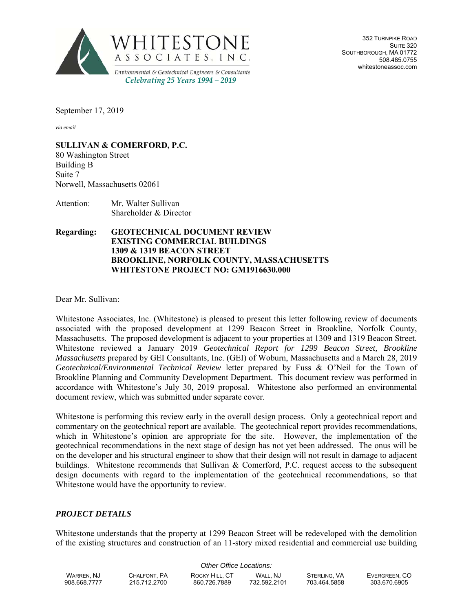

352 TURNPIKE ROAD SUITE 320 SOUTHBOROUGH, MA 01772 508.485.0755 whitestoneassoc.com

September 17, 2019

*via email*

**SULLIVAN & COMERFORD, P.C.**

80 Washington Street Building B Suite 7 Norwell, Massachusetts 02061

Attention: Mr. Walter Sullivan Shareholder & Director

## **Regarding: GEOTECHNICAL DOCUMENT REVIEW EXISTING COMMERCIAL BUILDINGS 1309 & 1319 BEACON STREET BROOKLINE, NORFOLK COUNTY, MASSACHUSETTS WHITESTONE PROJECT NO: GM1916630.000**

Dear Mr. Sullivan:

Whitestone Associates, Inc. (Whitestone) is pleased to present this letter following review of documents associated with the proposed development at 1299 Beacon Street in Brookline, Norfolk County, Massachusetts. The proposed development is adjacent to your properties at 1309 and 1319 Beacon Street. Whitestone reviewed a January 2019 *Geotechnical Report for 1299 Beacon Street, Brookline Massachusetts* prepared by GEI Consultants, Inc. (GEI) of Woburn, Massachusetts and a March 28, 2019 *Geotechnical/Environmental Technical Review* letter prepared by Fuss & O'Neil for the Town of Brookline Planning and Community Development Department. This document review was performed in accordance with Whitestone's July 30, 2019 proposal. Whitestone also performed an environmental document review, which was submitted under separate cover.

Whitestone is performing this review early in the overall design process. Only a geotechnical report and commentary on the geotechnical report are available. The geotechnical report provides recommendations, which in Whitestone's opinion are appropriate for the site. However, the implementation of the geotechnical recommendations in the next stage of design has not yet been addressed. The onus will be on the developer and his structural engineer to show that their design will not result in damage to adjacent buildings. Whitestone recommends that Sullivan & Comerford, P.C. request access to the subsequent design documents with regard to the implementation of the geotechnical recommendations, so that Whitestone would have the opportunity to review.

## *PROJECT DETAILS*

Whitestone understands that the property at 1299 Beacon Street will be redeveloped with the demolition of the existing structures and construction of an 11-story mixed residential and commercial use building

| Other Office Locations: |              |                |              |              |               |
|-------------------------|--------------|----------------|--------------|--------------|---------------|
| WARREN. NJ              | CHALFONT, PA | ROCKY HILL, CT | WALL. NJ     | STERLING, VA | EVERGREEN, CO |
| 908.668.7777            | 215.712.2700 | 860.726.7889   | 732.592.2101 | 703.464.5858 | 303.670.6905  |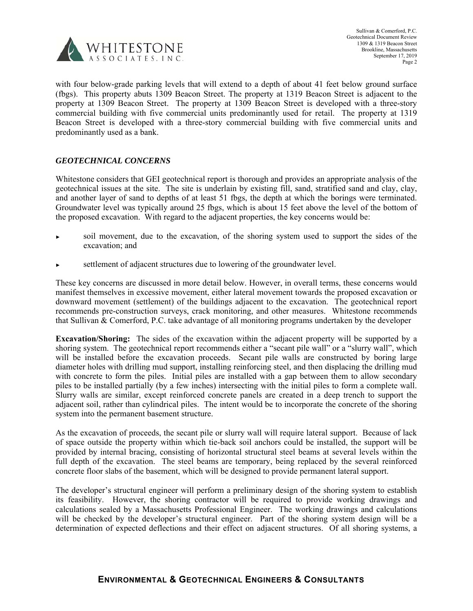

with four below-grade parking levels that will extend to a depth of about 41 feet below ground surface (fbgs). This property abuts 1309 Beacon Street. The property at 1319 Beacon Street is adjacent to the property at 1309 Beacon Street. The property at 1309 Beacon Street is developed with a three-story commercial building with five commercial units predominantly used for retail. The property at 1319 Beacon Street is developed with a three-story commercial building with five commercial units and predominantly used as a bank.

## *GEOTECHNICAL CONCERNS*

Whitestone considers that GEI geotechnical report is thorough and provides an appropriate analysis of the geotechnical issues at the site. The site is underlain by existing fill, sand, stratified sand and clay, clay, and another layer of sand to depths of at least 51 fbgs, the depth at which the borings were terminated. Groundwater level was typically around 25 fbgs, which is about 15 feet above the level of the bottom of the proposed excavation. With regard to the adjacent properties, the key concerns would be:

- soil movement, due to the excavation, of the shoring system used to support the sides of the excavation; and
- settlement of adjacent structures due to lowering of the groundwater level.

These key concerns are discussed in more detail below. However, in overall terms, these concerns would manifest themselves in excessive movement, either lateral movement towards the proposed excavation or downward movement (settlement) of the buildings adjacent to the excavation. The geotechnical report recommends pre-construction surveys, crack monitoring, and other measures. Whitestone recommends that Sullivan & Comerford, P.C. take advantage of all monitoring programs undertaken by the developer

**Excavation/Shoring:** The sides of the excavation within the adjacent property will be supported by a shoring system. The geotechnical report recommends either a "secant pile wall" or a "slurry wall", which will be installed before the excavation proceeds. Secant pile walls are constructed by boring large diameter holes with drilling mud support, installing reinforcing steel, and then displacing the drilling mud with concrete to form the piles. Initial piles are installed with a gap between them to allow secondary piles to be installed partially (by a few inches) intersecting with the initial piles to form a complete wall. Slurry walls are similar, except reinforced concrete panels are created in a deep trench to support the adjacent soil, rather than cylindrical piles. The intent would be to incorporate the concrete of the shoring system into the permanent basement structure.

As the excavation of proceeds, the secant pile or slurry wall will require lateral support. Because of lack of space outside the property within which tie-back soil anchors could be installed, the support will be provided by internal bracing, consisting of horizontal structural steel beams at several levels within the full depth of the excavation. The steel beams are temporary, being replaced by the several reinforced concrete floor slabs of the basement, which will be designed to provide permanent lateral support.

The developer's structural engineer will perform a preliminary design of the shoring system to establish its feasibility. However, the shoring contractor will be required to provide working drawings and calculations sealed by a Massachusetts Professional Engineer. The working drawings and calculations will be checked by the developer's structural engineer. Part of the shoring system design will be a determination of expected deflections and their effect on adjacent structures. Of all shoring systems, a